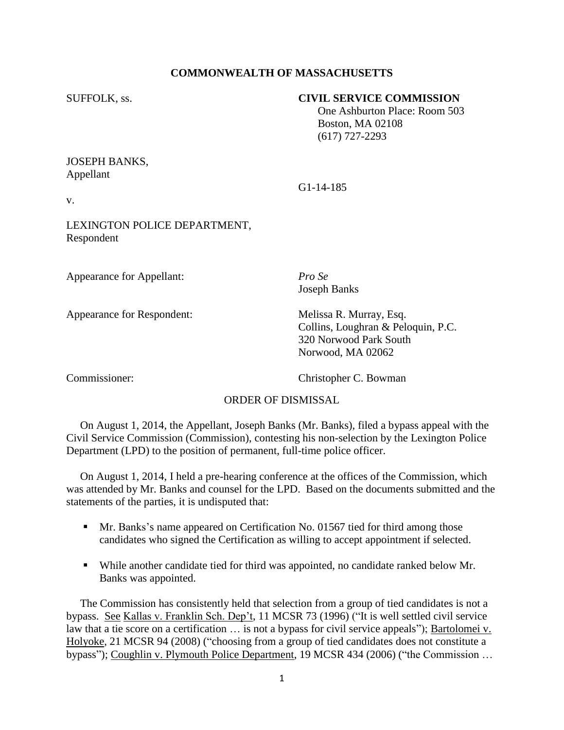## **COMMONWEALTH OF MASSACHUSETTS**

#### SUFFOLK, ss. **CIVIL SERVICE COMMISSION**

 One Ashburton Place: Room 503 Boston, MA 02108 (617) 727-2293

## JOSEPH BANKS, Appellant

G1-14-185

v.

# LEXINGTON POLICE DEPARTMENT, Respondent

Appearance for Appellant: *Pro Se*

Appearance for Respondent: Melissa R. Murray, Esq.

Joseph Banks

Collins, Loughran & Peloquin, P.C. 320 Norwood Park South Norwood, MA 02062

Commissioner: Christopher C. Bowman

#### ORDER OF DISMISSAL

 On August 1, 2014, the Appellant, Joseph Banks (Mr. Banks), filed a bypass appeal with the Civil Service Commission (Commission), contesting his non-selection by the Lexington Police Department (LPD) to the position of permanent, full-time police officer.

 On August 1, 2014, I held a pre-hearing conference at the offices of the Commission, which was attended by Mr. Banks and counsel for the LPD. Based on the documents submitted and the statements of the parties, it is undisputed that:

- **Mr. Banks's name appeared on Certification No. 01567 tied for third among those** candidates who signed the Certification as willing to accept appointment if selected.
- While another candidate tied for third was appointed, no candidate ranked below Mr. Banks was appointed.

 The Commission has consistently held that selection from a group of tied candidates is not a bypass. See Kallas v. Franklin Sch. Dep't, 11 MCSR 73 (1996) ("It is well settled civil service law that a tie score on a certification … is not a bypass for civil service appeals"); Bartolomei v. Holyoke, 21 MCSR 94 (2008) ("choosing from a group of tied candidates does not constitute a bypass"); Coughlin v. Plymouth Police Department, 19 MCSR 434 (2006) ("the Commission …